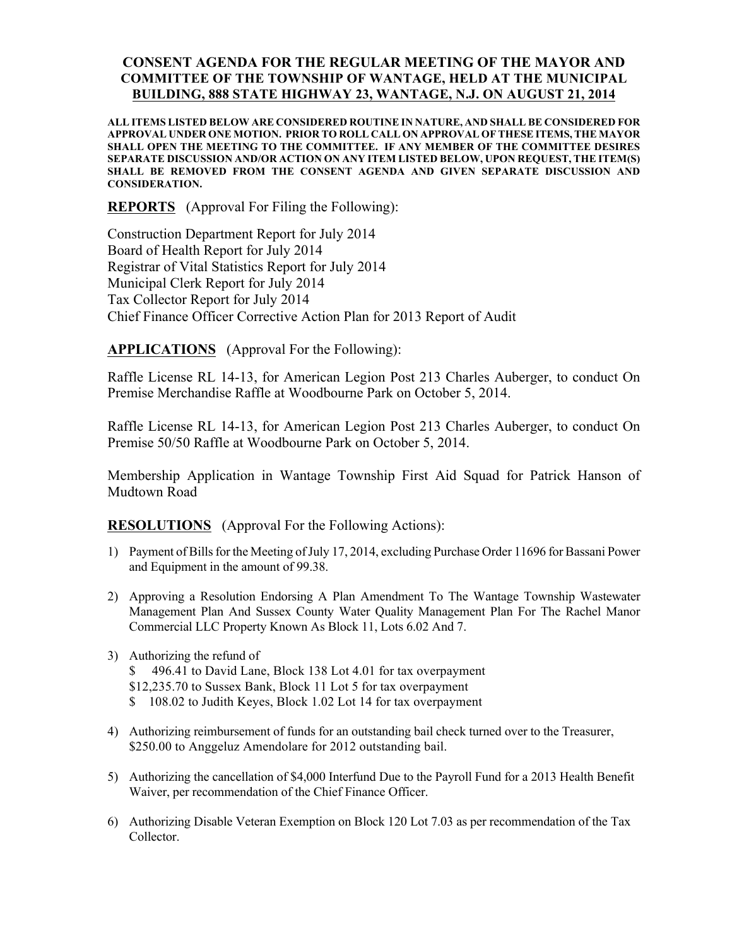## CONSENT AGENDA FOR THE REGULAR MEETING OF THE MAYOR AND COMMITTEE OF THE TOWNSHIP OF WANTAGE, HELD AT THE MUNICIPAL BUILDING, 888 STATE HIGHWAY 23, WANTAGE, N.J. ON AUGUST 21, 2014

ALL ITEMS LISTED BELOW ARE CONSIDERED ROUTINE IN NATURE, AND SHALL BE CONSIDERED FOR APPROVAL UNDER ONE MOTION. PRIOR TO ROLL CALL ON APPROVAL OF THESE ITEMS, THE MAYOR SHALL OPEN THE MEETING TO THE COMMITTEE. IF ANY MEMBER OF THE COMMITTEE DESIRES SEPARATE DISCUSSION AND/OR ACTION ON ANY ITEM LISTED BELOW, UPON REQUEST, THE ITEM(S) SHALL BE REMOVED FROM THE CONSENT AGENDA AND GIVEN SEPARATE DISCUSSION AND CONSIDERATION.

REPORTS (Approval For Filing the Following):

Construction Department Report for July 2014 Board of Health Report for July 2014 Registrar of Vital Statistics Report for July 2014 Municipal Clerk Report for July 2014 Tax Collector Report for July 2014 Chief Finance Officer Corrective Action Plan for 2013 Report of Audit

APPLICATIONS (Approval For the Following):

Raffle License RL 14-13, for American Legion Post 213 Charles Auberger, to conduct On Premise Merchandise Raffle at Woodbourne Park on October 5, 2014.

Raffle License RL 14-13, for American Legion Post 213 Charles Auberger, to conduct On Premise 50/50 Raffle at Woodbourne Park on October 5, 2014.

Membership Application in Wantage Township First Aid Squad for Patrick Hanson of Mudtown Road

RESOLUTIONS (Approval For the Following Actions):

- 1) Payment of Bills for the Meeting of July 17, 2014, excluding Purchase Order 11696 for Bassani Power and Equipment in the amount of 99.38.
- 2) Approving a Resolution Endorsing A Plan Amendment To The Wantage Township Wastewater Management Plan And Sussex County Water Quality Management Plan For The Rachel Manor Commercial LLC Property Known As Block 11, Lots 6.02 And 7.
- 3) Authorizing the refund of \$ 496.41 to David Lane, Block 138 Lot 4.01 for tax overpayment \$12,235.70 to Sussex Bank, Block 11 Lot 5 for tax overpayment \$ 108.02 to Judith Keyes, Block 1.02 Lot 14 for tax overpayment
- 4) Authorizing reimbursement of funds for an outstanding bail check turned over to the Treasurer, \$250.00 to Anggeluz Amendolare for 2012 outstanding bail.
- 5) Authorizing the cancellation of \$4,000 Interfund Due to the Payroll Fund for a 2013 Health Benefit Waiver, per recommendation of the Chief Finance Officer.
- 6) Authorizing Disable Veteran Exemption on Block 120 Lot 7.03 as per recommendation of the Tax Collector.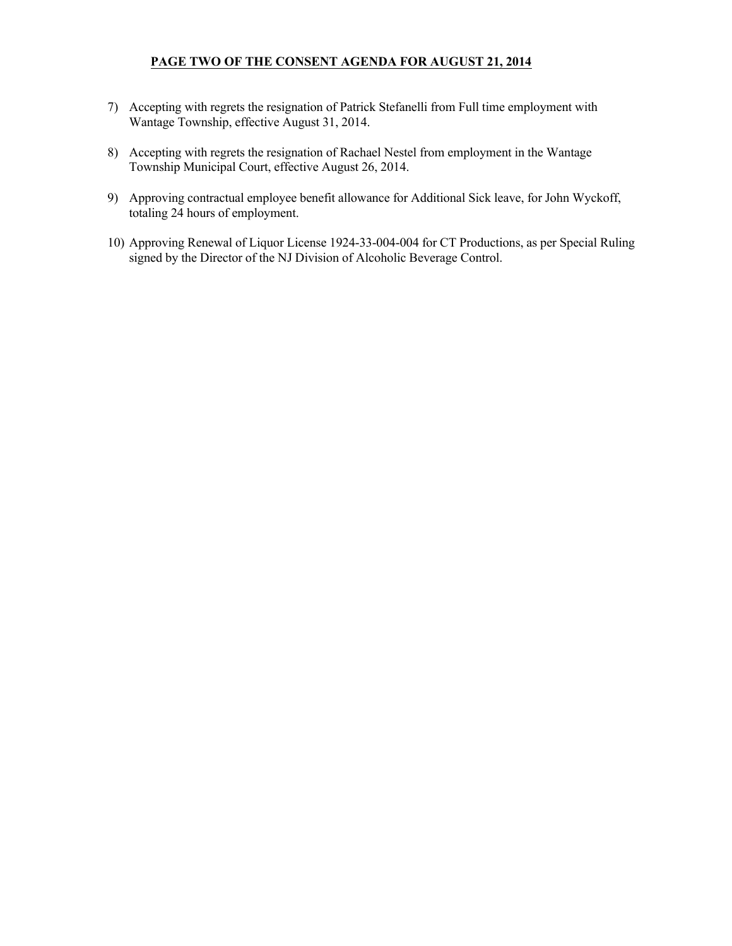## PAGE TWO OF THE CONSENT AGENDA FOR AUGUST 21, 2014

- 7) Accepting with regrets the resignation of Patrick Stefanelli from Full time employment with Wantage Township, effective August 31, 2014.
- 8) Accepting with regrets the resignation of Rachael Nestel from employment in the Wantage Township Municipal Court, effective August 26, 2014.
- 9) Approving contractual employee benefit allowance for Additional Sick leave, for John Wyckoff, totaling 24 hours of employment.
- 10) Approving Renewal of Liquor License 1924-33-004-004 for CT Productions, as per Special Ruling signed by the Director of the NJ Division of Alcoholic Beverage Control.